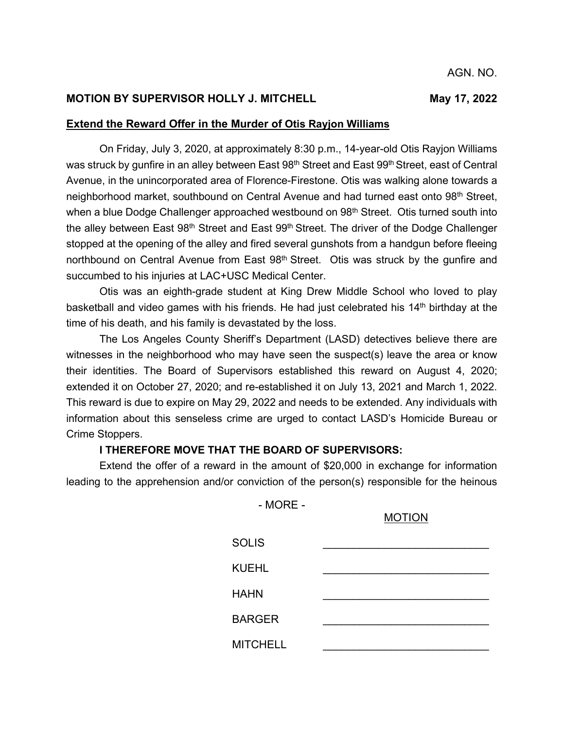## **MOTION BY SUPERVISOR HOLLY J. MITCHELL MAY 17, 2022**

## **Extend the Reward Offer in the Murder of Otis Rayjon Williams**

On Friday, July 3, 2020, at approximately 8:30 p.m., 14-year-old Otis Rayjon Williams was struck by gunfire in an alley between East  $98<sup>th</sup>$  Street and East  $99<sup>th</sup>$  Street, east of Central Avenue, in the unincorporated area of Florence-Firestone. Otis was walking alone towards a neighborhood market, southbound on Central Avenue and had turned east onto 98<sup>th</sup> Street, when a blue Dodge Challenger approached westbound on 98<sup>th</sup> Street. Otis turned south into the alley between East 98<sup>th</sup> Street and East 99<sup>th</sup> Street. The driver of the Dodge Challenger stopped at the opening of the alley and fired several gunshots from a handgun before fleeing northbound on Central Avenue from East  $98<sup>th</sup>$  Street. Otis was struck by the qunfire and succumbed to his injuries at LAC+USC Medical Center.

Otis was an eighth-grade student at King Drew Middle School who loved to play basketball and video games with his friends. He had just celebrated his  $14<sup>th</sup>$  birthday at the time of his death, and his family is devastated by the loss.

The Los Angeles County Sheriff's Department (LASD) detectives believe there are witnesses in the neighborhood who may have seen the suspect(s) leave the area or know their identities. The Board of Supervisors established this reward on August 4, 2020; extended it on October 27, 2020; and re-established it on July 13, 2021 and March 1, 2022. This reward is due to expire on May 29, 2022 and needs to be extended. Any individuals with information about this senseless crime are urged to contact LASD's Homicide Bureau or Crime Stoppers.

## **I THEREFORE MOVE THAT THE BOARD OF SUPERVISORS:**

Extend the offer of a reward in the amount of \$20,000 in exchange for information leading to the apprehension and/or conviction of the person(s) responsible for the heinous

- MORE -

| <b>MOTION</b> |  |  |
|---------------|--|--|
|               |  |  |

| <b>SOLIS</b>    |  |
|-----------------|--|
| <b>KUEHL</b>    |  |
| <b>HAHN</b>     |  |
| <b>BARGER</b>   |  |
| <b>MITCHELL</b> |  |